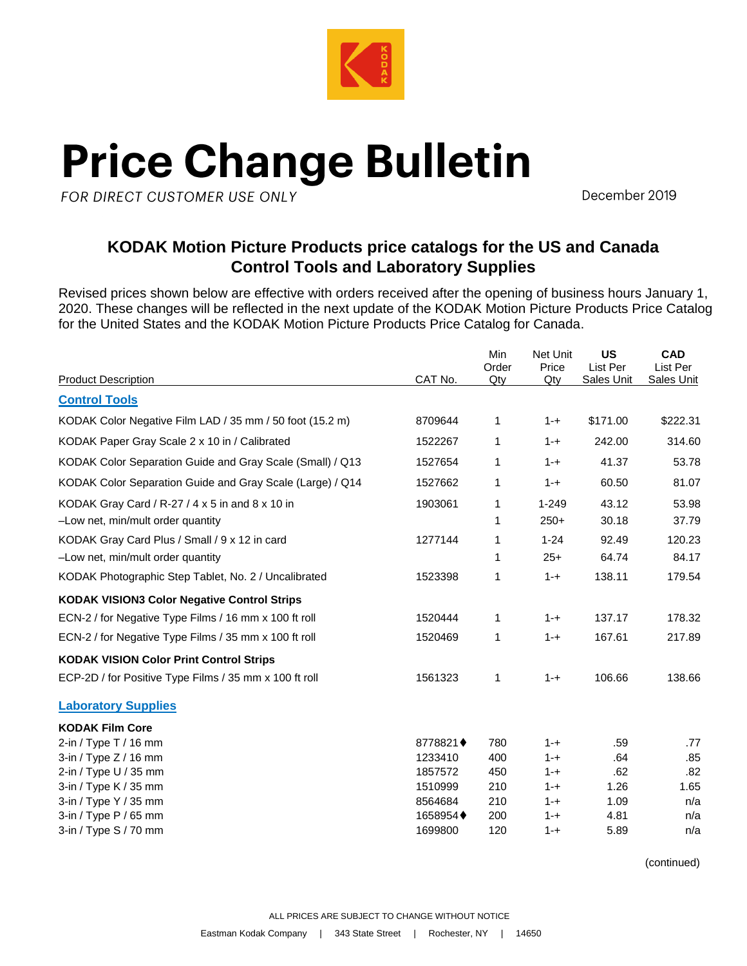

## **Price Change Bulletin**

FOR DIRECT CUSTOMER USE ONLY

December 2019

## **KODAK Motion Picture Products price catalogs for the US and Canada Control Tools and Laboratory Supplies**

Revised prices shown below are effective with orders received after the opening of business hours January 1, 2020. These changes will be reflected in the next update of the KODAK Motion Picture Products Price Catalog for the United States and the KODAK Motion Picture Products Price Catalog for Canada.

|                                                           |                     | Min<br>Order | Net Unit<br>Price  | <b>US</b><br>List Per | <b>CAD</b><br>List Per |
|-----------------------------------------------------------|---------------------|--------------|--------------------|-----------------------|------------------------|
| <b>Product Description</b>                                | CAT No.             | Qty          | Qty                | Sales Unit            | <b>Sales Unit</b>      |
| <b>Control Tools</b>                                      |                     |              |                    |                       |                        |
| KODAK Color Negative Film LAD / 35 mm / 50 foot (15.2 m)  | 8709644             | 1            | $1 - +$            | \$171.00              | \$222.31               |
| KODAK Paper Gray Scale 2 x 10 in / Calibrated             | 1522267             | 1            | $1 - +$            | 242.00                | 314.60                 |
| KODAK Color Separation Guide and Gray Scale (Small) / Q13 | 1527654             | 1            | $1 - +$            | 41.37                 | 53.78                  |
| KODAK Color Separation Guide and Gray Scale (Large) / Q14 | 1527662             | 1            | $1 - +$            | 60.50                 | 81.07                  |
| KODAK Gray Card / R-27 / 4 x 5 in and 8 x 10 in           | 1903061             | 1            | $1 - 249$          | 43.12                 | 53.98                  |
| -Low net, min/mult order quantity                         |                     | 1            | $250+$             | 30.18                 | 37.79                  |
| KODAK Gray Card Plus / Small / 9 x 12 in card             | 1277144             | 1            | $1 - 24$           | 92.49                 | 120.23                 |
| -Low net, min/mult order quantity                         |                     | 1            | $25+$              | 64.74                 | 84.17                  |
| KODAK Photographic Step Tablet, No. 2 / Uncalibrated      | 1523398             | 1            | $1 - +$            | 138.11                | 179.54                 |
| <b>KODAK VISION3 Color Negative Control Strips</b>        |                     |              |                    |                       |                        |
| ECN-2 / for Negative Type Films / 16 mm x 100 ft roll     | 1520444             | 1            | $1 - +$            | 137.17                | 178.32                 |
| ECN-2 / for Negative Type Films / 35 mm x 100 ft roll     | 1520469             | 1            | $1 - +$            | 167.61                | 217.89                 |
| <b>KODAK VISION Color Print Control Strips</b>            |                     |              |                    |                       |                        |
| ECP-2D / for Positive Type Films / 35 mm x 100 ft roll    | 1561323             | 1            | $1 - +$            | 106.66                | 138.66                 |
| <b>Laboratory Supplies</b>                                |                     |              |                    |                       |                        |
| <b>KODAK Film Core</b>                                    |                     |              |                    |                       |                        |
| 2-in / Type T / 16 mm                                     | 8778821♦            | 780          | $1 - +$            | .59                   | .77                    |
| 3-in / Type $Z$ / 16 mm                                   | 1233410             | 400          | $1 - +$            | .64                   | .85                    |
| 2-in / Type U / 35 mm                                     | 1857572             | 450          | $1 - +$            | .62                   | .82                    |
| 3-in / Type K / 35 mm                                     | 1510999             | 210          | $1 - +$            | 1.26                  | 1.65                   |
| 3-in / Type Y / 35 mm                                     | 8564684             | 210          | $1 - +$            | 1.09                  | n/a                    |
| 3-in / Type P / 65 mm<br>3-in / Type $S/70$ mm            | 1658954♦<br>1699800 | 200<br>120   | $1 - +$<br>$1 - +$ | 4.81<br>5.89          | n/a<br>n/a             |
|                                                           |                     |              |                    |                       |                        |

(continued)